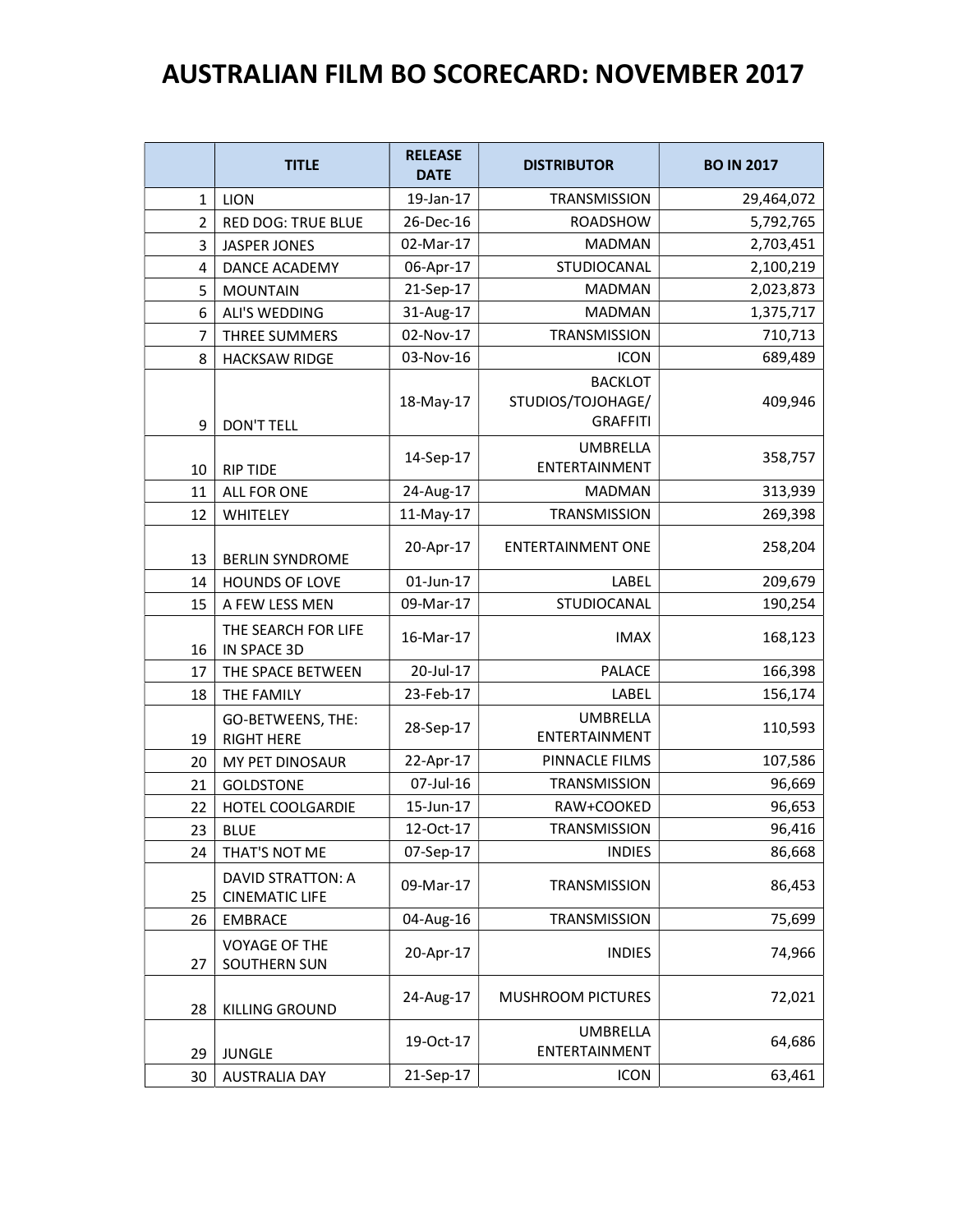## AUSTRALIAN FILM BO SCORECARD: NOVEMBER 2017

|                | <b>TITLE</b>                                      | <b>RELEASE</b><br><b>DATE</b> | <b>DISTRIBUTOR</b>                                     | <b>BO IN 2017</b> |
|----------------|---------------------------------------------------|-------------------------------|--------------------------------------------------------|-------------------|
| $\mathbf{1}$   | <b>LION</b>                                       | 19-Jan-17                     | <b>TRANSMISSION</b>                                    | 29,464,072        |
| $\overline{2}$ | <b>RED DOG: TRUE BLUE</b>                         | 26-Dec-16                     | <b>ROADSHOW</b>                                        | 5,792,765         |
| 3              | <b>JASPER JONES</b>                               | 02-Mar-17                     | <b>MADMAN</b>                                          | 2,703,451         |
| $\overline{4}$ | DANCE ACADEMY                                     | 06-Apr-17                     | STUDIOCANAL                                            | 2,100,219         |
| 5              | <b>MOUNTAIN</b>                                   | 21-Sep-17                     | <b>MADMAN</b>                                          | 2,023,873         |
| 6              | <b>ALI'S WEDDING</b>                              | 31-Aug-17                     | <b>MADMAN</b>                                          | 1,375,717         |
| 7              | THREE SUMMERS                                     | 02-Nov-17                     | <b>TRANSMISSION</b>                                    | 710,713           |
| 8              | <b>HACKSAW RIDGE</b>                              | 03-Nov-16                     | <b>ICON</b>                                            | 689,489           |
| 9              | <b>DON'T TELL</b>                                 | 18-May-17                     | <b>BACKLOT</b><br>STUDIOS/TOJOHAGE/<br><b>GRAFFITI</b> | 409,946           |
| 10             | <b>RIP TIDE</b>                                   | 14-Sep-17                     | <b>UMBRELLA</b><br>ENTERTAINMENT                       | 358,757           |
| 11             | ALL FOR ONE                                       | 24-Aug-17                     | <b>MADMAN</b>                                          | 313,939           |
| 12             | WHITELEY                                          | 11-May-17                     | <b>TRANSMISSION</b>                                    | 269,398           |
| 13             | <b>BERLIN SYNDROME</b>                            | 20-Apr-17                     | <b>ENTERTAINMENT ONE</b>                               | 258,204           |
| 14             | HOUNDS OF LOVE                                    | 01-Jun-17                     | LABEL                                                  | 209,679           |
| 15             | A FEW LESS MEN                                    | 09-Mar-17                     | STUDIOCANAL                                            | 190,254           |
| 16             | THE SEARCH FOR LIFE<br>IN SPACE 3D                | 16-Mar-17                     | <b>IMAX</b>                                            | 168,123           |
| 17             | THE SPACE BETWEEN                                 | 20-Jul-17                     | <b>PALACE</b>                                          | 166,398           |
| 18             | THE FAMILY                                        | 23-Feb-17                     | LABEL                                                  | 156,174           |
| 19             | GO-BETWEENS, THE:<br><b>RIGHT HERE</b>            | 28-Sep-17                     | <b>UMBRELLA</b><br>ENTERTAINMENT                       | 110,593           |
| 20             | MY PET DINOSAUR                                   | 22-Apr-17                     | PINNACLE FILMS                                         | 107,586           |
| 21             | <b>GOLDSTONE</b>                                  | 07-Jul-16                     | <b>TRANSMISSION</b>                                    | 96,669            |
| 22             | HOTEL COOLGARDIE                                  | 15-Jun-17                     | RAW+COOKED                                             | 96,653            |
| 23             | <b>BLUE</b>                                       | 12-Oct-17                     | <b>TRANSMISSION</b>                                    | 96,416            |
| 24             | THAT'S NOT ME                                     | 07-Sep-17                     | <b>INDIES</b>                                          | 86,668            |
| 25             | <b>DAVID STRATTON: A</b><br><b>CINEMATIC LIFE</b> | 09-Mar-17                     | <b>TRANSMISSION</b>                                    | 86,453            |
| 26             | <b>EMBRACE</b>                                    | 04-Aug-16                     | <b>TRANSMISSION</b>                                    | 75,699            |
| 27             | <b>VOYAGE OF THE</b><br>SOUTHERN SUN              | 20-Apr-17                     | <b>INDIES</b>                                          | 74,966            |
| 28             | <b>KILLING GROUND</b>                             | 24-Aug-17                     | <b>MUSHROOM PICTURES</b>                               | 72,021            |
| 29             | <b>JUNGLE</b>                                     | 19-Oct-17                     | <b>UMBRELLA</b><br>ENTERTAINMENT                       | 64,686            |
| 30             | <b>AUSTRALIA DAY</b>                              | 21-Sep-17                     | <b>ICON</b>                                            | 63,461            |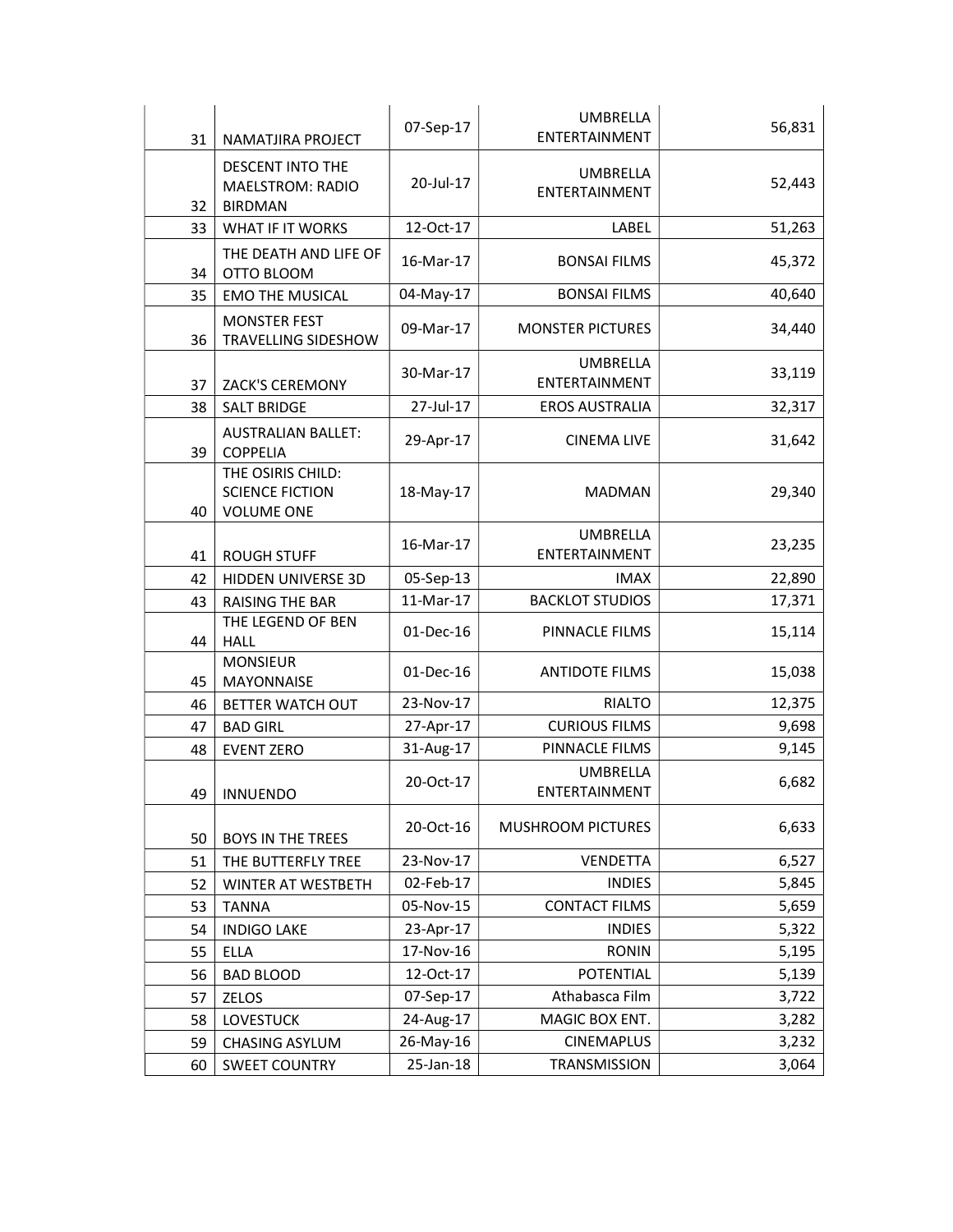| 31 | NAMATJIRA PROJECT                                                | 07-Sep-17 | <b>UMBRELLA</b><br>ENTERTAINMENT        | 56,831 |
|----|------------------------------------------------------------------|-----------|-----------------------------------------|--------|
| 32 | DESCENT INTO THE<br><b>MAELSTROM: RADIO</b><br><b>BIRDMAN</b>    | 20-Jul-17 | <b>UMBRELLA</b><br>ENTERTAINMENT        | 52,443 |
| 33 | WHAT IF IT WORKS                                                 | 12-Oct-17 | LABEL                                   | 51,263 |
| 34 | THE DEATH AND LIFE OF<br>OTTO BLOOM                              | 16-Mar-17 | <b>BONSAI FILMS</b>                     | 45,372 |
| 35 | <b>EMO THE MUSICAL</b>                                           | 04-May-17 | <b>BONSAI FILMS</b>                     | 40,640 |
| 36 | <b>MONSTER FEST</b><br>TRAVELLING SIDESHOW                       | 09-Mar-17 | <b>MONSTER PICTURES</b>                 | 34,440 |
| 37 | ZACK'S CEREMONY                                                  | 30-Mar-17 | <b>UMBRELLA</b><br>ENTERTAINMENT        | 33,119 |
| 38 | <b>SALT BRIDGE</b>                                               | 27-Jul-17 | <b>EROS AUSTRALIA</b>                   | 32,317 |
| 39 | <b>AUSTRALIAN BALLET:</b><br><b>COPPELIA</b>                     | 29-Apr-17 | <b>CINEMA LIVE</b>                      | 31,642 |
| 40 | THE OSIRIS CHILD:<br><b>SCIENCE FICTION</b><br><b>VOLUME ONE</b> | 18-May-17 | <b>MADMAN</b>                           | 29,340 |
| 41 | <b>ROUGH STUFF</b>                                               | 16-Mar-17 | UMBRELLA<br>ENTERTAINMENT               | 23,235 |
| 42 | HIDDEN UNIVERSE 3D                                               | 05-Sep-13 | <b>IMAX</b>                             | 22,890 |
| 43 | <b>RAISING THE BAR</b>                                           | 11-Mar-17 | <b>BACKLOT STUDIOS</b>                  | 17,371 |
| 44 | THE LEGEND OF BEN<br><b>HALL</b>                                 | 01-Dec-16 | PINNACLE FILMS                          | 15,114 |
| 45 | <b>MONSIEUR</b><br>MAYONNAISE                                    | 01-Dec-16 | <b>ANTIDOTE FILMS</b>                   | 15,038 |
| 46 | BETTER WATCH OUT                                                 | 23-Nov-17 | <b>RIALTO</b>                           | 12,375 |
| 47 | <b>BAD GIRL</b>                                                  | 27-Apr-17 | <b>CURIOUS FILMS</b>                    | 9,698  |
| 48 | <b>EVENT ZERO</b>                                                | 31-Aug-17 | PINNACLE FILMS                          | 9,145  |
| 49 | <b>INNUENDO</b>                                                  | 20-Oct-17 | <b>UMBRELLA</b><br><b>ENTERTAINMENT</b> | 6,682  |
| 50 | <b>BOYS IN THE TREES</b>                                         | 20-Oct-16 | MUSHROOM PICTURES                       | 6,633  |
| 51 | THE BUTTERFLY TREE                                               | 23-Nov-17 | VENDETTA                                | 6,527  |
| 52 | WINTER AT WESTBETH                                               | 02-Feb-17 | <b>INDIES</b>                           | 5,845  |
| 53 | <b>TANNA</b>                                                     | 05-Nov-15 | <b>CONTACT FILMS</b>                    | 5,659  |
| 54 | <b>INDIGO LAKE</b>                                               | 23-Apr-17 | <b>INDIES</b>                           | 5,322  |
| 55 | <b>ELLA</b>                                                      | 17-Nov-16 | <b>RONIN</b>                            | 5,195  |
| 56 | <b>BAD BLOOD</b>                                                 | 12-Oct-17 | POTENTIAL                               | 5,139  |
| 57 | <b>ZELOS</b>                                                     | 07-Sep-17 | Athabasca Film                          | 3,722  |
| 58 | <b>LOVESTUCK</b>                                                 | 24-Aug-17 | MAGIC BOX ENT.                          | 3,282  |
| 59 | CHASING ASYLUM                                                   | 26-May-16 | <b>CINEMAPLUS</b>                       | 3,232  |
| 60 | <b>SWEET COUNTRY</b>                                             | 25-Jan-18 | <b>TRANSMISSION</b>                     | 3,064  |